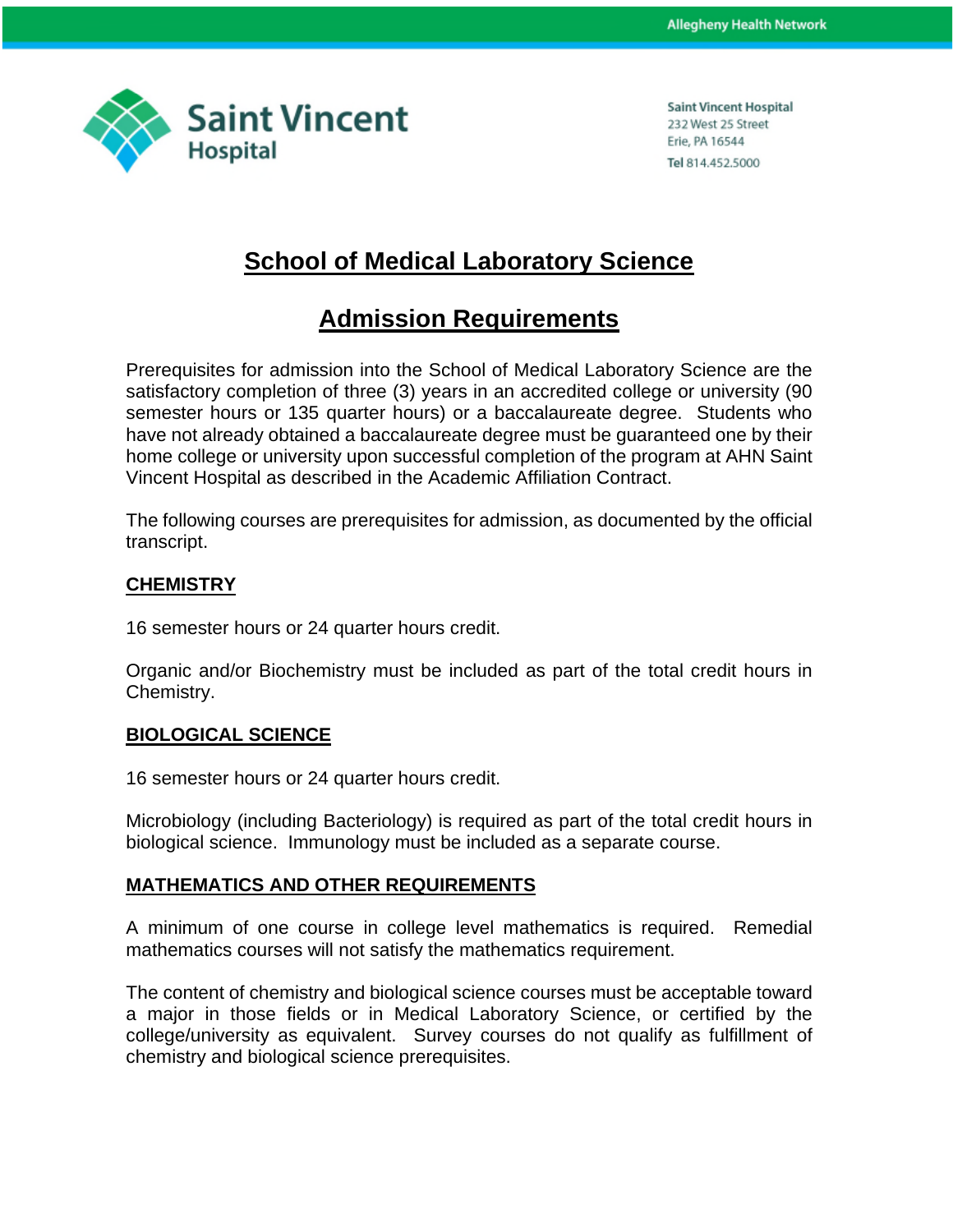

**Saint Vincent Hospital** 232 West 25 Street Erie, PA 16544 Tel 814.452.5000

## **School of Medical Laboratory Science**

# **Admission Requirements**

Prerequisites for admission into the School of Medical Laboratory Science are the satisfactory completion of three (3) years in an accredited college or university (90 semester hours or 135 quarter hours) or a baccalaureate degree. Students who have not already obtained a baccalaureate degree must be guaranteed one by their home college or university upon successful completion of the program at AHN Saint Vincent Hospital as described in the Academic Affiliation Contract.

The following courses are prerequisites for admission, as documented by the official transcript.

#### **CHEMISTRY**

16 semester hours or 24 quarter hours credit.

Organic and/or Biochemistry must be included as part of the total credit hours in Chemistry.

#### **BIOLOGICAL SCIENCE**

16 semester hours or 24 quarter hours credit.

Microbiology (including Bacteriology) is required as part of the total credit hours in biological science. Immunology must be included as a separate course.

### **MATHEMATICS AND OTHER REQUIREMENTS**

A minimum of one course in college level mathematics is required. Remedial mathematics courses will not satisfy the mathematics requirement.

The content of chemistry and biological science courses must be acceptable toward a major in those fields or in Medical Laboratory Science, or certified by the college/university as equivalent. Survey courses do not qualify as fulfillment of chemistry and biological science prerequisites.